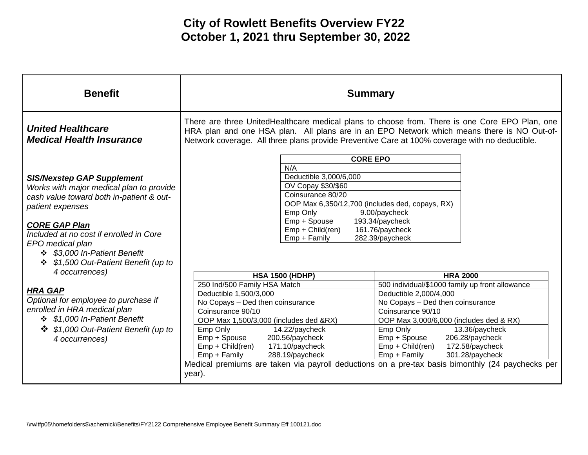| <b>United Healthcare</b><br><b>Medical Health Insurance</b><br>Network coverage. All three plans provide Preventive Care at 100% coverage with no deductible.<br><b>CORE EPO</b><br>N/A<br>Deductible 3,000/6,000<br><b>SIS/Nexstep GAP Supplement</b><br>OV Copay \$30/\$60<br>Works with major medical plan to provide<br>Coinsurance 80/20<br>cash value toward both in-patient & out-<br>OOP Max 6,350/12,700 (includes ded, copays, RX)<br>patient expenses<br>Emp Only<br>9.00/paycheck<br>Emp + Spouse<br>193.34/paycheck<br><b>CORE GAP Plan</b><br>Emp + Child(ren)<br>161.76/paycheck<br>Included at no cost if enrolled in Core<br>Emp + Family<br>282.39/paycheck<br>EPO medical plan<br>\$3,000 In-Patient Benefit<br>\$1,500 Out-Patient Benefit (up to<br>4 occurrences)<br><b>HSA 1500 (HDHP)</b><br><b>HRA 2000</b><br>250 Ind/500 Family HSA Match<br>500 individual/\$1000 family up front allowance<br><b>HRA GAP</b><br>Deductible 1,500/3,000<br>Deductible 2,000/4,000<br>Optional for employee to purchase if<br>No Copays - Ded then coinsurance<br>No Copays - Ded then coinsurance<br>enrolled in HRA medical plan | <b>Benefit</b> | <b>Summary</b>                                                                                                                                                                               |                   |
|-----------------------------------------------------------------------------------------------------------------------------------------------------------------------------------------------------------------------------------------------------------------------------------------------------------------------------------------------------------------------------------------------------------------------------------------------------------------------------------------------------------------------------------------------------------------------------------------------------------------------------------------------------------------------------------------------------------------------------------------------------------------------------------------------------------------------------------------------------------------------------------------------------------------------------------------------------------------------------------------------------------------------------------------------------------------------------------------------------------------------------------------------|----------------|----------------------------------------------------------------------------------------------------------------------------------------------------------------------------------------------|-------------------|
|                                                                                                                                                                                                                                                                                                                                                                                                                                                                                                                                                                                                                                                                                                                                                                                                                                                                                                                                                                                                                                                                                                                                               |                | There are three UnitedHealthcare medical plans to choose from. There is one Core EPO Plan, one<br>HRA plan and one HSA plan. All plans are in an EPO Network which means there is NO Out-of- |                   |
| ❖ \$1,000 In-Patient Benefit<br>OOP Max 1,500/3,000 (includes ded &RX)<br>OOP Max 3,000/6,000 (includes ded & RX)<br>\$1,000 Out-Patient Benefit (up to<br>Emp Only<br>14.22/paycheck<br>13.36/paycheck<br>Emp Only<br>$\cdot$<br>200.56/paycheck<br>206.28/paycheck<br>Emp + Spouse<br>Emp + Spouse<br>4 occurrences)<br>Emp + Child(ren)<br>$Emp + Child (ren)$<br>171.10/paycheck<br>172.58/paycheck<br>Emp + Family<br>288.19/paycheck<br>Emp + Family<br>301.28/paycheck<br>Medical premiums are taken via payroll deductions on a pre-tax basis bimonthly (24 paychecks per<br>year).                                                                                                                                                                                                                                                                                                                                                                                                                                                                                                                                                   |                | Coinsurance 90/10                                                                                                                                                                            | Coinsurance 90/10 |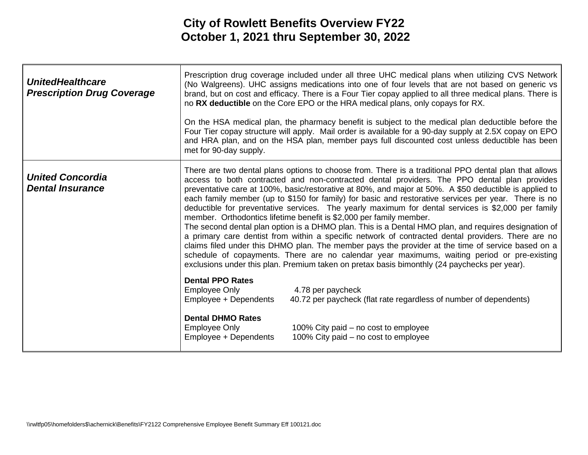| <b>UnitedHealthcare</b><br><b>Prescription Drug Coverage</b> | no RX deductible on the Core EPO or the HRA medical plans, only copays for RX.<br>met for 90-day supply.                                                                                                                                                                                                                                                                                                                                                                                                                                                                                                                                                                                                                                                                                                                                                                                                                                                                                                                                                                                                              | Prescription drug coverage included under all three UHC medical plans when utilizing CVS Network<br>(No Walgreens). UHC assigns medications into one of four levels that are not based on generic vs<br>brand, but on cost and efficacy. There is a Four Tier copay applied to all three medical plans. There is<br>On the HSA medical plan, the pharmacy benefit is subject to the medical plan deductible before the<br>Four Tier copay structure will apply. Mail order is available for a 90-day supply at 2.5X copay on EPO<br>and HRA plan, and on the HSA plan, member pays full discounted cost unless deductible has been |
|--------------------------------------------------------------|-----------------------------------------------------------------------------------------------------------------------------------------------------------------------------------------------------------------------------------------------------------------------------------------------------------------------------------------------------------------------------------------------------------------------------------------------------------------------------------------------------------------------------------------------------------------------------------------------------------------------------------------------------------------------------------------------------------------------------------------------------------------------------------------------------------------------------------------------------------------------------------------------------------------------------------------------------------------------------------------------------------------------------------------------------------------------------------------------------------------------|------------------------------------------------------------------------------------------------------------------------------------------------------------------------------------------------------------------------------------------------------------------------------------------------------------------------------------------------------------------------------------------------------------------------------------------------------------------------------------------------------------------------------------------------------------------------------------------------------------------------------------|
| <b>United Concordia</b><br><b>Dental Insurance</b>           | There are two dental plans options to choose from. There is a traditional PPO dental plan that allows<br>access to both contracted and non-contracted dental providers. The PPO dental plan provides<br>preventative care at 100%, basic/restorative at 80%, and major at 50%. A \$50 deductible is applied to<br>each family member (up to \$150 for family) for basic and restorative services per year. There is no<br>deductible for preventative services. The yearly maximum for dental services is \$2,000 per family<br>member. Orthodontics lifetime benefit is \$2,000 per family member.<br>The second dental plan option is a DHMO plan. This is a Dental HMO plan, and requires designation of<br>a primary care dentist from within a specific network of contracted dental providers. There are no<br>claims filed under this DHMO plan. The member pays the provider at the time of service based on a<br>schedule of copayments. There are no calendar year maximums, waiting period or pre-existing<br>exclusions under this plan. Premium taken on pretax basis bimonthly (24 paychecks per year). |                                                                                                                                                                                                                                                                                                                                                                                                                                                                                                                                                                                                                                    |
|                                                              | <b>Dental PPO Rates</b><br>Employee Only<br>4.78 per paycheck<br>Employee + Dependents                                                                                                                                                                                                                                                                                                                                                                                                                                                                                                                                                                                                                                                                                                                                                                                                                                                                                                                                                                                                                                | 40.72 per paycheck (flat rate regardless of number of dependents)                                                                                                                                                                                                                                                                                                                                                                                                                                                                                                                                                                  |
|                                                              | <b>Dental DHMO Rates</b><br>Employee Only<br>Employee + Dependents                                                                                                                                                                                                                                                                                                                                                                                                                                                                                                                                                                                                                                                                                                                                                                                                                                                                                                                                                                                                                                                    | 100% City paid – no cost to employee<br>100% City paid – no cost to employee                                                                                                                                                                                                                                                                                                                                                                                                                                                                                                                                                       |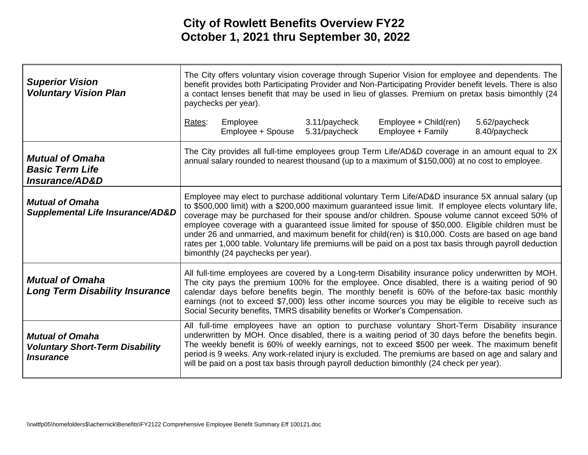| <b>Superior Vision</b><br><b>Voluntary Vision Plan</b>                                      | The City offers voluntary vision coverage through Superior Vision for employee and dependents. The<br>benefit provides both Participating Provider and Non-Participating Provider benefit levels. There is also<br>a contact lenses benefit that may be used in lieu of glasses. Premium on pretax basis bimonthly (24<br>paychecks per year).                                                                                                                                                                                                                                                                                                                                  |                               |                                |                                                                                                                                                                                                                                                                                                                                                                                                                                                                                                             |                                |
|---------------------------------------------------------------------------------------------|---------------------------------------------------------------------------------------------------------------------------------------------------------------------------------------------------------------------------------------------------------------------------------------------------------------------------------------------------------------------------------------------------------------------------------------------------------------------------------------------------------------------------------------------------------------------------------------------------------------------------------------------------------------------------------|-------------------------------|--------------------------------|-------------------------------------------------------------------------------------------------------------------------------------------------------------------------------------------------------------------------------------------------------------------------------------------------------------------------------------------------------------------------------------------------------------------------------------------------------------------------------------------------------------|--------------------------------|
|                                                                                             | Rates:                                                                                                                                                                                                                                                                                                                                                                                                                                                                                                                                                                                                                                                                          | Employee<br>Employee + Spouse | 3.11/paycheck<br>5.31/paycheck | Employee + Child(ren)<br>Employee + Family                                                                                                                                                                                                                                                                                                                                                                                                                                                                  | 5.62/paycheck<br>8.40/paycheck |
| <b>Mutual of Omaha</b><br><b>Basic Term Life</b><br>Insurance/AD&D                          |                                                                                                                                                                                                                                                                                                                                                                                                                                                                                                                                                                                                                                                                                 |                               |                                | The City provides all full-time employees group Term Life/AD&D coverage in an amount equal to 2X<br>annual salary rounded to nearest thousand (up to a maximum of \$150,000) at no cost to employee.                                                                                                                                                                                                                                                                                                        |                                |
| <b>Mutual of Omaha</b><br><b>Supplemental Life Insurance/AD&amp;D</b>                       | Employee may elect to purchase additional voluntary Term Life/AD&D insurance 5X annual salary (up<br>to \$500,000 limit) with a \$200,000 maximum guaranteed issue limit. If employee elects voluntary life,<br>coverage may be purchased for their spouse and/or children. Spouse volume cannot exceed 50% of<br>employee coverage with a guaranteed issue limited for spouse of \$50,000. Eligible children must be<br>under 26 and unmarried, and maximum benefit for child(ren) is \$10,000. Costs are based on age band<br>rates per 1,000 table. Voluntary life premiums will be paid on a post tax basis through payroll deduction<br>bimonthly (24 paychecks per year). |                               |                                |                                                                                                                                                                                                                                                                                                                                                                                                                                                                                                             |                                |
| <b>Mutual of Omaha</b><br><b>Long Term Disability Insurance</b>                             |                                                                                                                                                                                                                                                                                                                                                                                                                                                                                                                                                                                                                                                                                 |                               |                                | All full-time employees are covered by a Long-term Disability insurance policy underwritten by MOH.<br>The city pays the premium 100% for the employee. Once disabled, there is a waiting period of 90<br>calendar days before benefits begin. The monthly benefit is 60% of the before-tax basic monthly<br>earnings (not to exceed \$7,000) less other income sources you may be eligible to receive such as<br>Social Security benefits, TMRS disability benefits or Worker's Compensation.              |                                |
| <b>Mutual of Omaha</b><br><b>Voluntary Short-Term Disability</b><br><i><b>Insurance</b></i> |                                                                                                                                                                                                                                                                                                                                                                                                                                                                                                                                                                                                                                                                                 |                               |                                | All full-time employees have an option to purchase voluntary Short-Term Disability insurance<br>underwritten by MOH. Once disabled, there is a waiting period of 30 days before the benefits begin.<br>The weekly benefit is 60% of weekly earnings, not to exceed \$500 per week. The maximum benefit<br>period is 9 weeks. Any work-related injury is excluded. The premiums are based on age and salary and<br>will be paid on a post tax basis through payroll deduction bimonthly (24 check per year). |                                |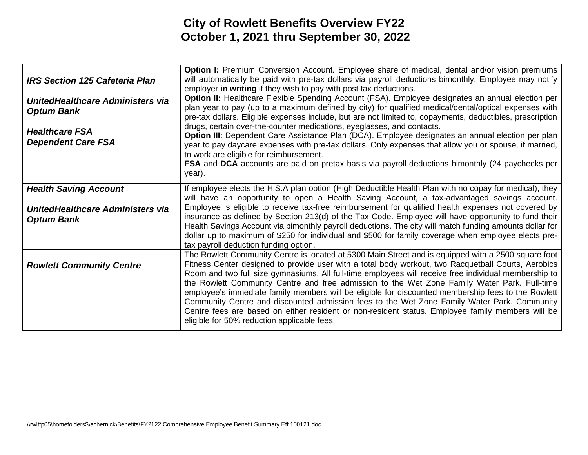| <b>IRS Section 125 Cafeteria Plan</b><br>UnitedHealthcare Administers via<br><b>Optum Bank</b><br><b>Healthcare FSA</b><br><b>Dependent Care FSA</b> | <b>Option I:</b> Premium Conversion Account. Employee share of medical, dental and/or vision premiums<br>will automatically be paid with pre-tax dollars via payroll deductions bimonthly. Employee may notify<br>employer in writing if they wish to pay with post tax deductions.<br><b>Option II:</b> Healthcare Flexible Spending Account (FSA). Employee designates an annual election per<br>plan year to pay (up to a maximum defined by city) for qualified medical/dental/optical expenses with<br>pre-tax dollars. Eligible expenses include, but are not limited to, copayments, deductibles, prescription<br>drugs, certain over-the-counter medications, eyeglasses, and contacts.<br>Option III: Dependent Care Assistance Plan (DCA). Employee designates an annual election per plan<br>year to pay daycare expenses with pre-tax dollars. Only expenses that allow you or spouse, if married,<br>to work are eligible for reimbursement.<br><b>FSA</b> and DCA accounts are paid on pretax basis via payroll deductions bimonthly (24 paychecks per<br>year). |
|------------------------------------------------------------------------------------------------------------------------------------------------------|--------------------------------------------------------------------------------------------------------------------------------------------------------------------------------------------------------------------------------------------------------------------------------------------------------------------------------------------------------------------------------------------------------------------------------------------------------------------------------------------------------------------------------------------------------------------------------------------------------------------------------------------------------------------------------------------------------------------------------------------------------------------------------------------------------------------------------------------------------------------------------------------------------------------------------------------------------------------------------------------------------------------------------------------------------------------------------|
| <b>Health Saving Account</b><br>UnitedHealthcare Administers via<br><b>Optum Bank</b>                                                                | If employee elects the H.S.A plan option (High Deductible Health Plan with no copay for medical), they<br>will have an opportunity to open a Health Saving Account, a tax-advantaged savings account.<br>Employee is eligible to receive tax-free reimbursement for qualified health expenses not covered by<br>insurance as defined by Section 213(d) of the Tax Code. Employee will have opportunity to fund their                                                                                                                                                                                                                                                                                                                                                                                                                                                                                                                                                                                                                                                           |
|                                                                                                                                                      | Health Savings Account via bimonthly payroll deductions. The city will match funding amounts dollar for<br>dollar up to maximum of \$250 for individual and \$500 for family coverage when employee elects pre-<br>tax payroll deduction funding option.                                                                                                                                                                                                                                                                                                                                                                                                                                                                                                                                                                                                                                                                                                                                                                                                                       |
| <b>Rowlett Community Centre</b>                                                                                                                      | The Rowlett Community Centre is located at 5300 Main Street and is equipped with a 2500 square foot<br>Fitness Center designed to provide user with a total body workout, two Racquetball Courts, Aerobics<br>Room and two full size gymnasiums. All full-time employees will receive free individual membership to<br>the Rowlett Community Centre and free admission to the Wet Zone Family Water Park. Full-time<br>employee's immediate family members will be eligible for discounted membership fees to the Rowlett<br>Community Centre and discounted admission fees to the Wet Zone Family Water Park. Community<br>Centre fees are based on either resident or non-resident status. Employee family members will be<br>eligible for 50% reduction applicable fees.                                                                                                                                                                                                                                                                                                    |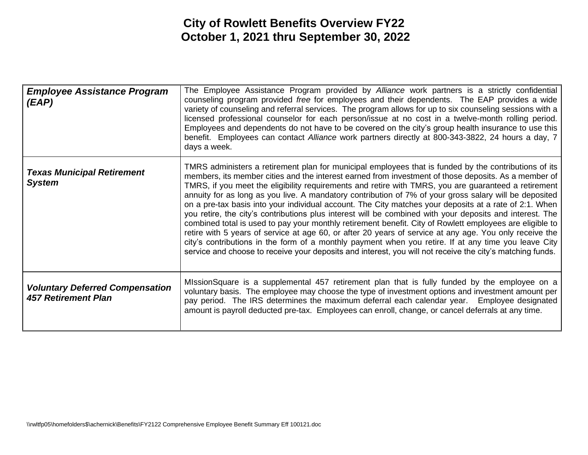| <b>Employee Assistance Program</b><br>(EAP)                          | The Employee Assistance Program provided by Alliance work partners is a strictly confidential<br>counseling program provided free for employees and their dependents. The EAP provides a wide<br>variety of counseling and referral services. The program allows for up to six counseling sessions with a<br>licensed professional counselor for each person/issue at no cost in a twelve-month rolling period.<br>Employees and dependents do not have to be covered on the city's group health insurance to use this<br>benefit. Employees can contact Alliance work partners directly at 800-343-3822, 24 hours a day, 7<br>days a week.                                                                                                                                                                                                                                                                                                                                                                                                                                                       |
|----------------------------------------------------------------------|---------------------------------------------------------------------------------------------------------------------------------------------------------------------------------------------------------------------------------------------------------------------------------------------------------------------------------------------------------------------------------------------------------------------------------------------------------------------------------------------------------------------------------------------------------------------------------------------------------------------------------------------------------------------------------------------------------------------------------------------------------------------------------------------------------------------------------------------------------------------------------------------------------------------------------------------------------------------------------------------------------------------------------------------------------------------------------------------------|
| <b>Texas Municipal Retirement</b><br><b>System</b>                   | TMRS administers a retirement plan for municipal employees that is funded by the contributions of its<br>members, its member cities and the interest earned from investment of those deposits. As a member of<br>TMRS, if you meet the eligibility requirements and retire with TMRS, you are guaranteed a retirement<br>annuity for as long as you live. A mandatory contribution of 7% of your gross salary will be deposited<br>on a pre-tax basis into your individual account. The City matches your deposits at a rate of 2:1. When<br>you retire, the city's contributions plus interest will be combined with your deposits and interest. The<br>combined total is used to pay your monthly retirement benefit. City of Rowlett employees are eligible to<br>retire with 5 years of service at age 60, or after 20 years of service at any age. You only receive the<br>city's contributions in the form of a monthly payment when you retire. If at any time you leave City<br>service and choose to receive your deposits and interest, you will not receive the city's matching funds. |
| <b>Voluntary Deferred Compensation</b><br><b>457 Retirement Plan</b> | MIssionSquare is a supplemental 457 retirement plan that is fully funded by the employee on a<br>voluntary basis. The employee may choose the type of investment options and investment amount per<br>pay period. The IRS determines the maximum deferral each calendar year. Employee designated<br>amount is payroll deducted pre-tax. Employees can enroll, change, or cancel deferrals at any time.                                                                                                                                                                                                                                                                                                                                                                                                                                                                                                                                                                                                                                                                                           |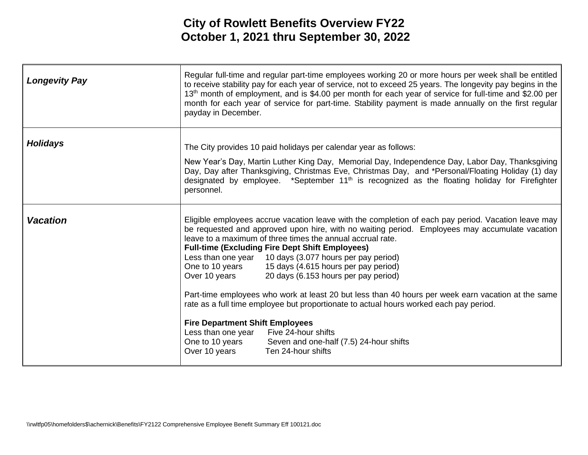| <b>Longevity Pay</b> | Regular full-time and regular part-time employees working 20 or more hours per week shall be entitled<br>to receive stability pay for each year of service, not to exceed 25 years. The longevity pay begins in the<br>13 <sup>th</sup> month of employment, and is \$4.00 per month for each year of service for full-time and \$2.00 per<br>month for each year of service for part-time. Stability payment is made annually on the first regular<br>payday in December.                                                                                                                                                                                                                                                                                                                                                                                                                            |
|----------------------|-------------------------------------------------------------------------------------------------------------------------------------------------------------------------------------------------------------------------------------------------------------------------------------------------------------------------------------------------------------------------------------------------------------------------------------------------------------------------------------------------------------------------------------------------------------------------------------------------------------------------------------------------------------------------------------------------------------------------------------------------------------------------------------------------------------------------------------------------------------------------------------------------------|
| <b>Holidays</b>      | The City provides 10 paid holidays per calendar year as follows:<br>New Year's Day, Martin Luther King Day, Memorial Day, Independence Day, Labor Day, Thanksgiving<br>Day, Day after Thanksgiving, Christmas Eve, Christmas Day, and *Personal/Floating Holiday (1) day<br>designated by employee. *September 11 <sup>th</sup> is recognized as the floating holiday for Firefighter<br>personnel.                                                                                                                                                                                                                                                                                                                                                                                                                                                                                                   |
| <b>Vacation</b>      | Eligible employees accrue vacation leave with the completion of each pay period. Vacation leave may<br>be requested and approved upon hire, with no waiting period. Employees may accumulate vacation<br>leave to a maximum of three times the annual accrual rate.<br><b>Full-time (Excluding Fire Dept Shift Employees)</b><br>Less than one year 10 days (3.077 hours per pay period)<br>One to 10 years 15 days (4.615 hours per pay period)<br>Over 10 years<br>20 days (6.153 hours per pay period)<br>Part-time employees who work at least 20 but less than 40 hours per week earn vacation at the same<br>rate as a full time employee but proportionate to actual hours worked each pay period.<br><b>Fire Department Shift Employees</b><br>Five 24-hour shifts<br>Less than one year<br>One to 10 years<br>Seven and one-half (7.5) 24-hour shifts<br>Over 10 years<br>Ten 24-hour shifts |